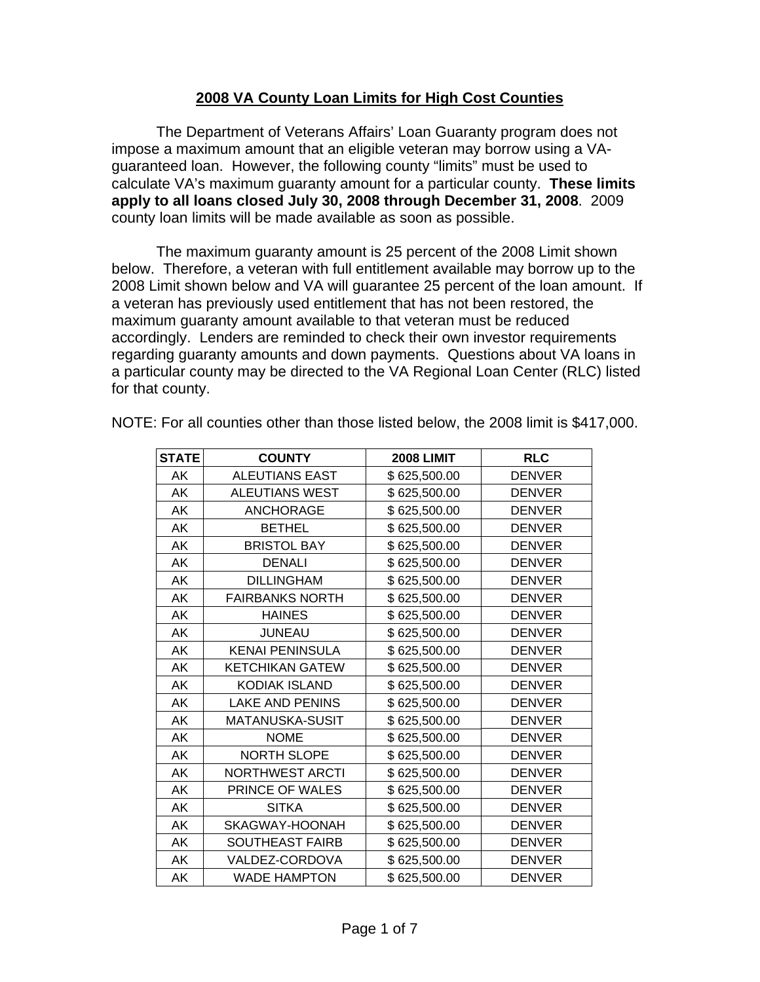## **2008 VA County Loan Limits for High Cost Counties**

 The Department of Veterans Affairs' Loan Guaranty program does not impose a maximum amount that an eligible veteran may borrow using a VAguaranteed loan. However, the following county "limits" must be used to calculate VA's maximum guaranty amount for a particular county. **These limits apply to all loans closed July 30, 2008 through December 31, 2008**. 2009 county loan limits will be made available as soon as possible.

The maximum guaranty amount is 25 percent of the 2008 Limit shown below. Therefore, a veteran with full entitlement available may borrow up to the 2008 Limit shown below and VA will guarantee 25 percent of the loan amount. If a veteran has previously used entitlement that has not been restored, the maximum guaranty amount available to that veteran must be reduced accordingly. Lenders are reminded to check their own investor requirements regarding guaranty amounts and down payments. Questions about VA loans in a particular county may be directed to the VA Regional Loan Center (RLC) listed for that county.

| <b>STATE</b> | <b>COUNTY</b>          | <b>2008 LIMIT</b> | <b>RLC</b>    |
|--------------|------------------------|-------------------|---------------|
| AK           | <b>ALEUTIANS EAST</b>  | \$625,500.00      | <b>DENVER</b> |
| AK           | <b>ALEUTIANS WEST</b>  | \$625,500.00      | <b>DENVER</b> |
| AK           | <b>ANCHORAGE</b>       | \$625,500.00      | <b>DENVER</b> |
| AK           | <b>BETHEL</b>          | \$625,500.00      | <b>DENVER</b> |
| AK           | <b>BRISTOL BAY</b>     | \$625,500.00      | <b>DENVER</b> |
| AΚ           | <b>DENALI</b>          | \$625,500.00      | <b>DENVER</b> |
| AΚ           | <b>DILLINGHAM</b>      | \$625,500.00      | <b>DENVER</b> |
| AK           | <b>FAIRBANKS NORTH</b> | \$625,500.00      | <b>DENVER</b> |
| AΚ           | <b>HAINES</b>          | \$625,500.00      | <b>DENVER</b> |
| AK           | <b>JUNEAU</b>          | \$625,500.00      | <b>DENVER</b> |
| AΚ           | <b>KENAI PENINSULA</b> | \$625,500.00      | <b>DENVER</b> |
| AΚ           | <b>KETCHIKAN GATEW</b> | \$625,500.00      | <b>DENVER</b> |
| AK           | <b>KODIAK ISLAND</b>   | \$625,500.00      | <b>DENVER</b> |
| AΚ           | LAKE AND PENINS        | \$625,500.00      | <b>DENVER</b> |
| AΚ           | <b>MATANUSKA-SUSIT</b> | \$625,500.00      | <b>DENVER</b> |
| AΚ           | <b>NOME</b>            | \$625,500.00      | <b>DENVER</b> |
| AΚ           | <b>NORTH SLOPE</b>     | \$625,500.00      | <b>DENVER</b> |
| AΚ           | <b>NORTHWEST ARCTI</b> | \$625,500.00      | <b>DENVER</b> |
| AK           | PRINCE OF WALES        | \$625,500.00      | <b>DENVER</b> |
| AΚ           | <b>SITKA</b>           | \$625,500.00      | <b>DENVER</b> |
| AK           | SKAGWAY-HOONAH         | \$625,500.00      | <b>DENVER</b> |
| AK           | <b>SOUTHEAST FAIRB</b> | \$625,500.00      | <b>DENVER</b> |
| AK           | VALDEZ-CORDOVA         | \$625,500.00      | <b>DENVER</b> |
| AK           | <b>WADE HAMPTON</b>    | \$625,500.00      | <b>DENVER</b> |

NOTE: For all counties other than those listed below, the 2008 limit is \$417,000.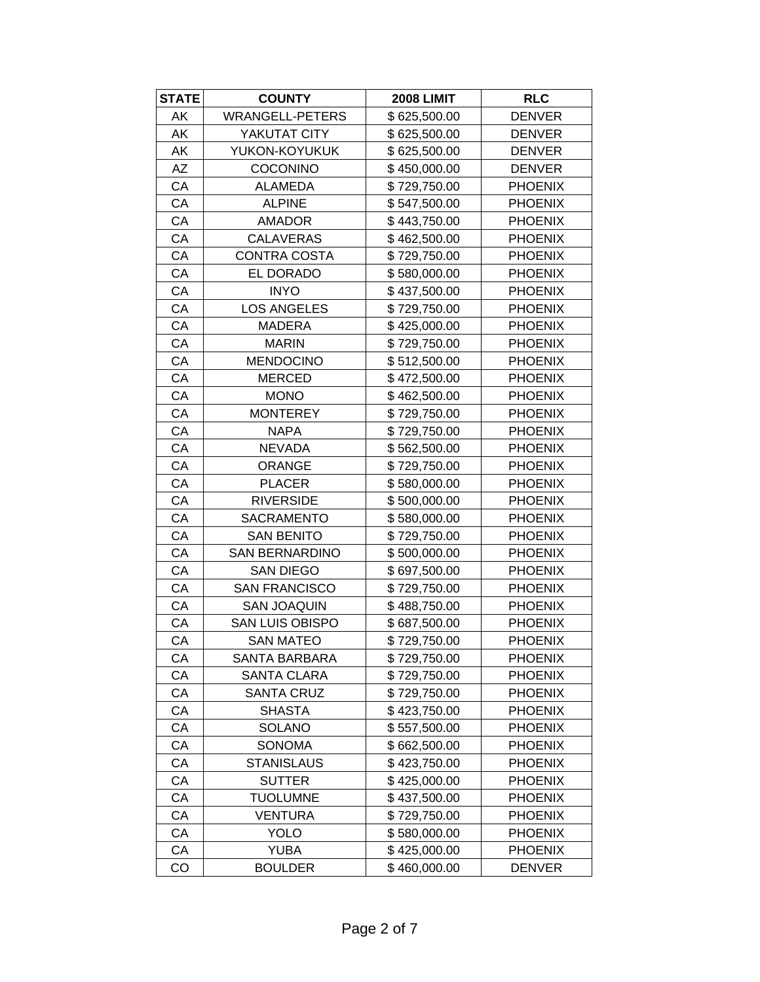| <b>STATE</b> | <b>COUNTY</b>          | <b>2008 LIMIT</b> | <b>RLC</b>     |
|--------------|------------------------|-------------------|----------------|
| AK           | <b>WRANGELL-PETERS</b> | \$625,500.00      | <b>DENVER</b>  |
| AK           | YAKUTAT CITY           | \$625,500.00      | <b>DENVER</b>  |
| AK           | YUKON-KOYUKUK          | \$625,500.00      | <b>DENVER</b>  |
| <b>AZ</b>    | COCONINO               | \$450,000.00      | <b>DENVER</b>  |
| CA           | <b>ALAMEDA</b>         | \$729,750.00      | <b>PHOENIX</b> |
| CA           | <b>ALPINE</b>          | \$547,500.00      | <b>PHOENIX</b> |
| CA           | <b>AMADOR</b>          | \$443,750.00      | <b>PHOENIX</b> |
| CA           | <b>CALAVERAS</b>       | \$462,500.00      | <b>PHOENIX</b> |
| CA           | CONTRA COSTA           | \$729,750.00      | <b>PHOENIX</b> |
| CA           | EL DORADO              | \$580,000.00      | <b>PHOENIX</b> |
| CA           | <b>INYO</b>            | \$437,500.00      | <b>PHOENIX</b> |
| CA           | <b>LOS ANGELES</b>     | \$729,750.00      | <b>PHOENIX</b> |
| CA           | <b>MADERA</b>          | \$425,000.00      | <b>PHOENIX</b> |
| CA           | <b>MARIN</b>           | \$729,750.00      | <b>PHOENIX</b> |
| CA           | <b>MENDOCINO</b>       | \$512,500.00      | <b>PHOENIX</b> |
| CA           | <b>MERCED</b>          | \$472,500.00      | <b>PHOENIX</b> |
| CA           | <b>MONO</b>            | \$462,500.00      | <b>PHOENIX</b> |
| СA           | <b>MONTEREY</b>        | \$729,750.00      | <b>PHOENIX</b> |
| CA           | <b>NAPA</b>            | \$729,750.00      | <b>PHOENIX</b> |
| CA           | <b>NEVADA</b>          | \$562,500.00      | <b>PHOENIX</b> |
| CA           | <b>ORANGE</b>          | \$729,750.00      | <b>PHOENIX</b> |
| CA           | <b>PLACER</b>          | \$580,000.00      | <b>PHOENIX</b> |
| CA           | <b>RIVERSIDE</b>       | \$500,000.00      | <b>PHOENIX</b> |
| CA           | SACRAMENTO             | \$580,000.00      | <b>PHOENIX</b> |
| CA           | <b>SAN BENITO</b>      | \$729,750.00      | <b>PHOENIX</b> |
| CA           | <b>SAN BERNARDINO</b>  | \$500,000.00      | <b>PHOENIX</b> |
| CA           | <b>SAN DIEGO</b>       | \$697,500.00      | <b>PHOENIX</b> |
| CA           | <b>SAN FRANCISCO</b>   | \$729,750.00      | <b>PHOENIX</b> |
| СA           | <b>SAN JOAQUIN</b>     | \$488,750.00      | <b>PHOENIX</b> |
| CA           | SAN LUIS OBISPO        | \$687,500.00      | <b>PHOENIX</b> |
| CA           | <b>SAN MATEO</b>       | \$729,750.00      | <b>PHOENIX</b> |
| CA           | <b>SANTA BARBARA</b>   | \$729,750.00      | <b>PHOENIX</b> |
| СA           | <b>SANTA CLARA</b>     | \$729,750.00      | <b>PHOENIX</b> |
| CA           | <b>SANTA CRUZ</b>      | \$729,750.00      | <b>PHOENIX</b> |
| CA           | <b>SHASTA</b>          | \$423,750.00      | <b>PHOENIX</b> |
| CA           | <b>SOLANO</b>          | \$557,500.00      | <b>PHOENIX</b> |
| CA           | SONOMA                 | \$662,500.00      | <b>PHOENIX</b> |
| СA           | <b>STANISLAUS</b>      | \$423,750.00      | <b>PHOENIX</b> |
| СA           | <b>SUTTER</b>          | \$425,000.00      | <b>PHOENIX</b> |
| CA           | <b>TUOLUMNE</b>        | \$437,500.00      | <b>PHOENIX</b> |
| СA           | <b>VENTURA</b>         | \$729,750.00      | <b>PHOENIX</b> |
| CA           | <b>YOLO</b>            | \$580,000.00      | <b>PHOENIX</b> |
| CA           | <b>YUBA</b>            | \$425,000.00      | <b>PHOENIX</b> |
| CO           | <b>BOULDER</b>         | \$460,000.00      | <b>DENVER</b>  |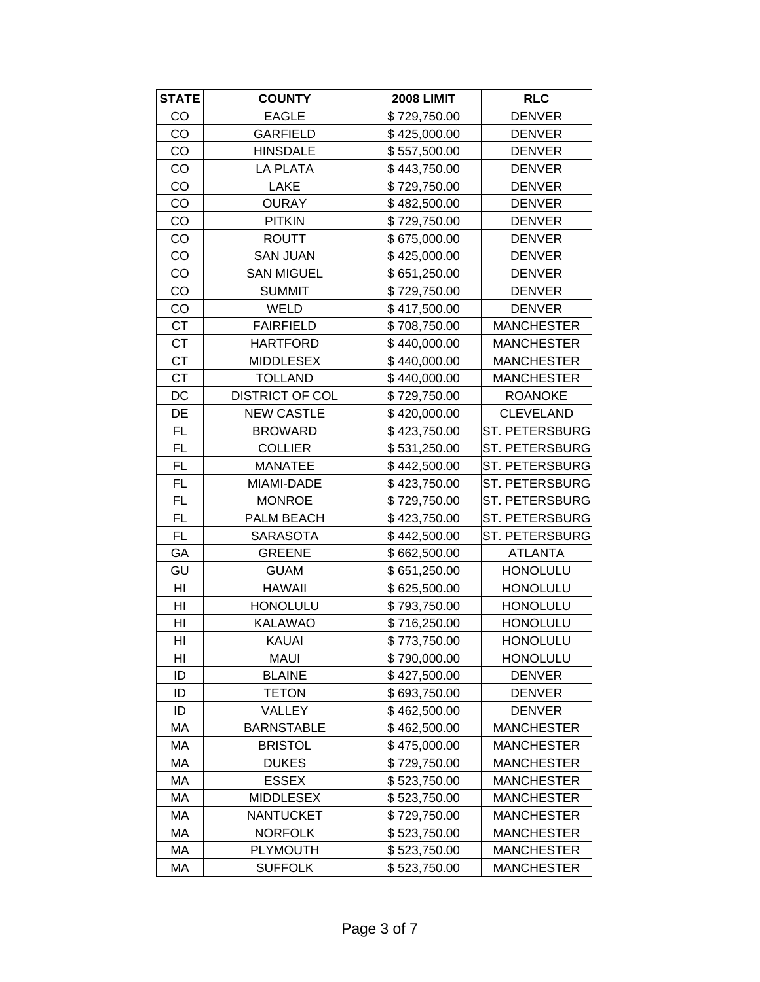| <b>STATE</b> | <b>COUNTY</b>          | <b>2008 LIMIT</b> | <b>RLC</b>            |
|--------------|------------------------|-------------------|-----------------------|
| CO           | <b>EAGLE</b>           | \$729,750.00      | <b>DENVER</b>         |
| CO           | <b>GARFIELD</b>        | \$425,000.00      | <b>DENVER</b>         |
| CO           | <b>HINSDALE</b>        | \$557,500.00      | <b>DENVER</b>         |
| CO           | <b>LA PLATA</b>        | \$443,750.00      | <b>DENVER</b>         |
| CO           | <b>LAKE</b>            | \$729,750.00      | <b>DENVER</b>         |
| CO           | <b>OURAY</b>           | \$482,500.00      | <b>DENVER</b>         |
| CO           | <b>PITKIN</b>          | \$729,750.00      | <b>DENVER</b>         |
| CO           | <b>ROUTT</b>           | \$675,000.00      | <b>DENVER</b>         |
| CO           | <b>SAN JUAN</b>        | \$425,000.00      | <b>DENVER</b>         |
| CO           | <b>SAN MIGUEL</b>      | \$651,250.00      | <b>DENVER</b>         |
| CO           | <b>SUMMIT</b>          | \$729,750.00      | <b>DENVER</b>         |
| CO           | WELD                   | \$417,500.00      | <b>DENVER</b>         |
| <b>CT</b>    | <b>FAIRFIELD</b>       | \$708,750.00      | <b>MANCHESTER</b>     |
| <b>CT</b>    | <b>HARTFORD</b>        | \$440,000.00      | <b>MANCHESTER</b>     |
| <b>CT</b>    | <b>MIDDLESEX</b>       | \$440,000.00      | <b>MANCHESTER</b>     |
| <b>CT</b>    | <b>TOLLAND</b>         | \$440,000.00      | <b>MANCHESTER</b>     |
| DC           | <b>DISTRICT OF COL</b> | \$729,750.00      | <b>ROANOKE</b>        |
| DE           | <b>NEW CASTLE</b>      | \$420,000.00      | <b>CLEVELAND</b>      |
| <b>FL</b>    | <b>BROWARD</b>         | \$423,750.00      | <b>ST. PETERSBURG</b> |
| FL.          | <b>COLLIER</b>         | \$531,250.00      | ST. PETERSBURG        |
| <b>FL</b>    | <b>MANATEE</b>         | \$442,500.00      | ST. PETERSBURG        |
| <b>FL</b>    | MIAMI-DADE             | \$423,750.00      | ST. PETERSBURG        |
| FL.          | <b>MONROE</b>          | \$729,750.00      | ST. PETERSBURG        |
| FL.          | PALM BEACH             | \$423,750.00      | ST. PETERSBURG        |
| FL.          | <b>SARASOTA</b>        | \$442,500.00      | ST. PETERSBURG        |
| GA           | <b>GREENE</b>          | \$662,500.00      | <b>ATLANTA</b>        |
| GU           | <b>GUAM</b>            | \$651,250.00      | <b>HONOLULU</b>       |
| HI           | <b>HAWAII</b>          | \$625,500.00      | <b>HONOLULU</b>       |
| HI           | <b>HONOLULU</b>        | \$793,750.00      | <b>HONOLULU</b>       |
| HI           | <b>KALAWAO</b>         | \$716,250.00      | <b>HONOLULU</b>       |
| HI           | <b>KAUAI</b>           | \$773,750.00      | <b>HONOLULU</b>       |
| HI           | <b>MAUI</b>            | \$790,000.00      | <b>HONOLULU</b>       |
| ID           | <b>BLAINE</b>          | \$427,500.00      | <b>DENVER</b>         |
| ID           | <b>TETON</b>           | \$693,750.00      | <b>DENVER</b>         |
| ID           | VALLEY                 | \$462,500.00      | <b>DENVER</b>         |
| МA           | <b>BARNSTABLE</b>      | \$462,500.00      | <b>MANCHESTER</b>     |
| МA           | <b>BRISTOL</b>         | \$475,000.00      | <b>MANCHESTER</b>     |
| MA           | <b>DUKES</b>           | \$729,750.00      | <b>MANCHESTER</b>     |
| MA           | <b>ESSEX</b>           | \$523,750.00      | <b>MANCHESTER</b>     |
| МA           | <b>MIDDLESEX</b>       | \$523,750.00      | <b>MANCHESTER</b>     |
| MA           | <b>NANTUCKET</b>       | \$729,750.00      | <b>MANCHESTER</b>     |
| МA           | <b>NORFOLK</b>         | \$523,750.00      | <b>MANCHESTER</b>     |
| МA           | <b>PLYMOUTH</b>        | \$523,750.00      | <b>MANCHESTER</b>     |
| МA           | <b>SUFFOLK</b>         | \$523,750.00      | <b>MANCHESTER</b>     |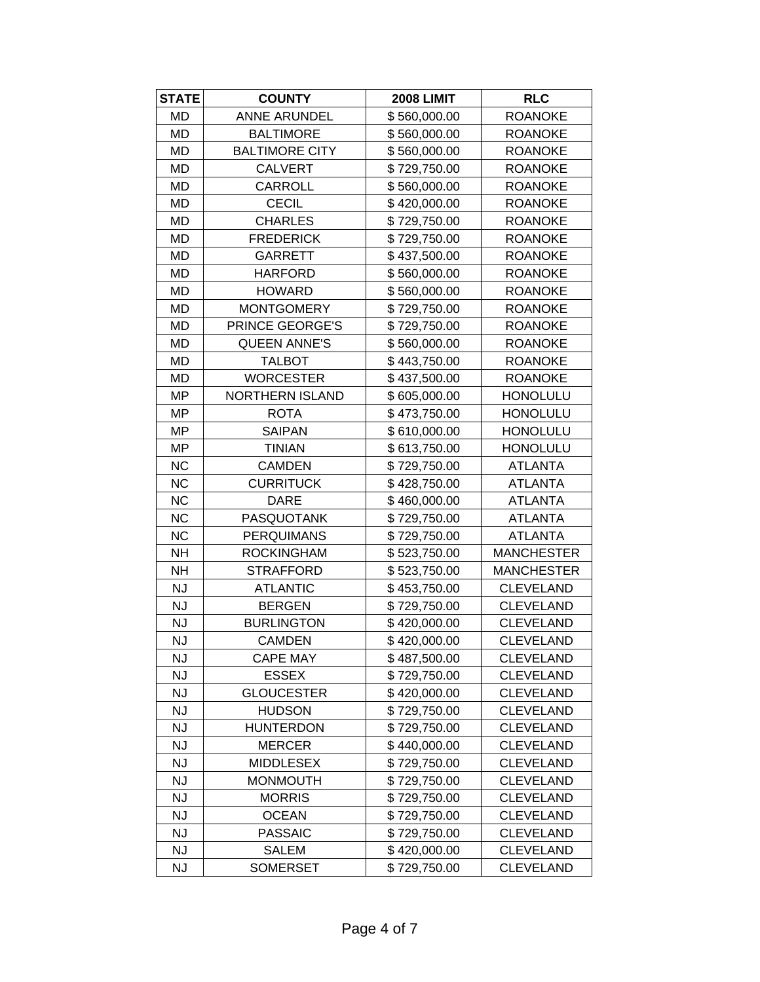| <b>STATE</b> | <b>COUNTY</b>         | <b>2008 LIMIT</b> | <b>RLC</b>        |
|--------------|-----------------------|-------------------|-------------------|
| MD           | <b>ANNE ARUNDEL</b>   | \$560,000.00      | <b>ROANOKE</b>    |
| MD           | <b>BALTIMORE</b>      | \$560,000.00      | <b>ROANOKE</b>    |
| MD           | <b>BALTIMORE CITY</b> | \$560,000.00      | <b>ROANOKE</b>    |
| <b>MD</b>    | <b>CALVERT</b>        | \$729,750.00      | <b>ROANOKE</b>    |
| MD           | <b>CARROLL</b>        | \$560,000.00      | <b>ROANOKE</b>    |
| <b>MD</b>    | <b>CECIL</b>          | \$420,000.00      | <b>ROANOKE</b>    |
| MD           | <b>CHARLES</b>        | \$729,750.00      | <b>ROANOKE</b>    |
| MD           | <b>FREDERICK</b>      | \$729,750.00      | <b>ROANOKE</b>    |
| <b>MD</b>    | <b>GARRETT</b>        | \$437,500.00      | <b>ROANOKE</b>    |
| MD           | <b>HARFORD</b>        | \$560,000.00      | <b>ROANOKE</b>    |
| MD           | <b>HOWARD</b>         | \$560,000.00      | <b>ROANOKE</b>    |
| <b>MD</b>    | <b>MONTGOMERY</b>     | \$729,750.00      | <b>ROANOKE</b>    |
| MD           | PRINCE GEORGE'S       | \$729,750.00      | <b>ROANOKE</b>    |
| MD           | <b>QUEEN ANNE'S</b>   | \$560,000.00      | <b>ROANOKE</b>    |
| MD           | <b>TALBOT</b>         | \$443,750.00      | <b>ROANOKE</b>    |
| MD           | <b>WORCESTER</b>      | \$437,500.00      | <b>ROANOKE</b>    |
| MP           | NORTHERN ISLAND       | \$605,000.00      | <b>HONOLULU</b>   |
| MP           | <b>ROTA</b>           | \$473,750.00      | <b>HONOLULU</b>   |
| MP           | <b>SAIPAN</b>         | \$610,000.00      | <b>HONOLULU</b>   |
| <b>MP</b>    | <b>TINIAN</b>         | \$613,750.00      | <b>HONOLULU</b>   |
| <b>NC</b>    | <b>CAMDEN</b>         | \$729,750.00      | <b>ATLANTA</b>    |
| <b>NC</b>    | <b>CURRITUCK</b>      | \$428,750.00      | <b>ATLANTA</b>    |
| <b>NC</b>    | <b>DARE</b>           | \$460,000.00      | <b>ATLANTA</b>    |
| <b>NC</b>    | <b>PASQUOTANK</b>     | \$729,750.00      | <b>ATLANTA</b>    |
| <b>NC</b>    | <b>PERQUIMANS</b>     | \$729,750.00      | <b>ATLANTA</b>    |
| <b>NH</b>    | <b>ROCKINGHAM</b>     | \$523,750.00      | <b>MANCHESTER</b> |
| <b>NH</b>    | <b>STRAFFORD</b>      | \$523,750.00      | <b>MANCHESTER</b> |
| <b>NJ</b>    | <b>ATLANTIC</b>       | \$453,750.00      | <b>CLEVELAND</b>  |
| <b>NJ</b>    | <b>BERGEN</b>         | \$729,750.00      | <b>CLEVELAND</b>  |
| <b>NJ</b>    | <b>BURLINGTON</b>     | \$420,000.00      | <b>CLEVELAND</b>  |
| NJ           | <b>CAMDEN</b>         | \$420,000.00      | <b>CLEVELAND</b>  |
| <b>NJ</b>    | <b>CAPE MAY</b>       | \$487,500.00      | <b>CLEVELAND</b>  |
| <b>NJ</b>    | <b>ESSEX</b>          | \$729,750.00      | <b>CLEVELAND</b>  |
| <b>NJ</b>    | <b>GLOUCESTER</b>     | \$420,000.00      | <b>CLEVELAND</b>  |
| <b>NJ</b>    | <b>HUDSON</b>         | \$729,750.00      | <b>CLEVELAND</b>  |
| <b>NJ</b>    | <b>HUNTERDON</b>      | \$729,750.00      | <b>CLEVELAND</b>  |
| <b>NJ</b>    | <b>MERCER</b>         | \$440,000.00      | <b>CLEVELAND</b>  |
| <b>NJ</b>    | <b>MIDDLESEX</b>      | \$729,750.00      | <b>CLEVELAND</b>  |
| <b>NJ</b>    | <b>MONMOUTH</b>       | \$729,750.00      | <b>CLEVELAND</b>  |
| <b>NJ</b>    | <b>MORRIS</b>         | \$729,750.00      | <b>CLEVELAND</b>  |
| <b>NJ</b>    | <b>OCEAN</b>          | \$729,750.00      | <b>CLEVELAND</b>  |
| <b>NJ</b>    | <b>PASSAIC</b>        | \$729,750.00      | <b>CLEVELAND</b>  |
| <b>NJ</b>    | <b>SALEM</b>          | \$420,000.00      | <b>CLEVELAND</b>  |
| <b>NJ</b>    | <b>SOMERSET</b>       | \$729,750.00      | <b>CLEVELAND</b>  |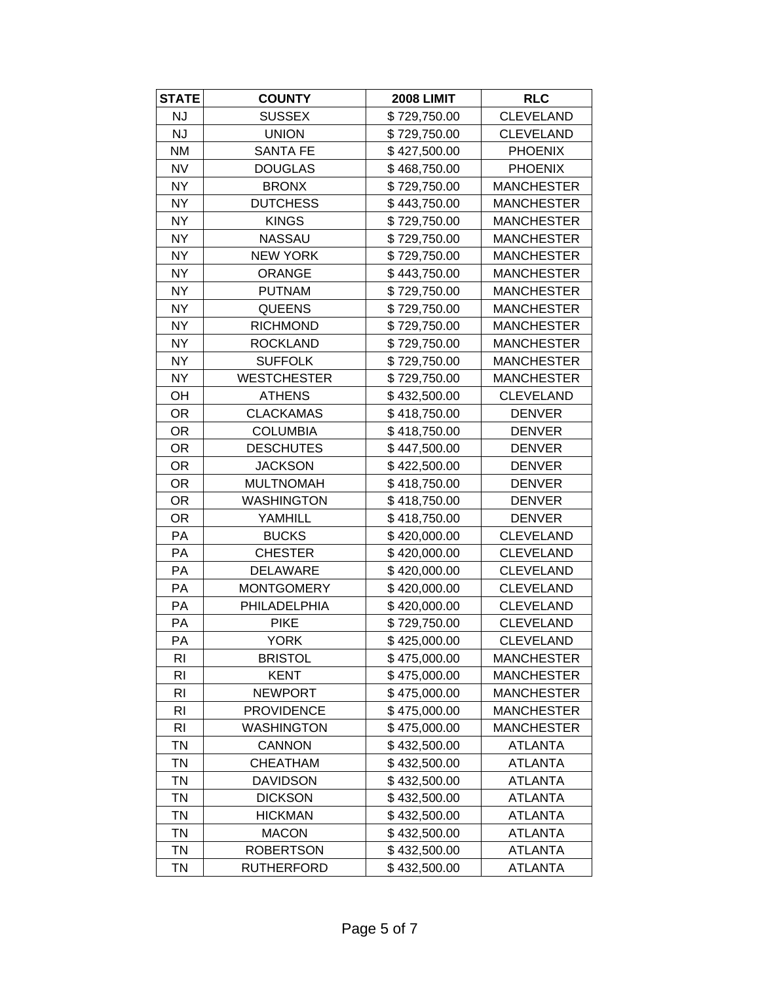| <b>STATE</b>   | <b>COUNTY</b>      | <b>2008 LIMIT</b> | <b>RLC</b>        |
|----------------|--------------------|-------------------|-------------------|
| <b>NJ</b>      | <b>SUSSEX</b>      | \$729,750.00      | <b>CLEVELAND</b>  |
| NJ             | <b>UNION</b>       | \$729,750.00      | <b>CLEVELAND</b>  |
| <b>NM</b>      | <b>SANTA FE</b>    | \$427,500.00      | <b>PHOENIX</b>    |
| <b>NV</b>      | <b>DOUGLAS</b>     | \$468,750.00      | <b>PHOENIX</b>    |
| <b>NY</b>      | <b>BRONX</b>       | \$729,750.00      | <b>MANCHESTER</b> |
| <b>NY</b>      | <b>DUTCHESS</b>    | \$443,750.00      | <b>MANCHESTER</b> |
| <b>NY</b>      | <b>KINGS</b>       | \$729,750.00      | <b>MANCHESTER</b> |
| <b>NY</b>      | <b>NASSAU</b>      | \$729,750.00      | <b>MANCHESTER</b> |
| <b>NY</b>      | <b>NEW YORK</b>    | \$729,750.00      | <b>MANCHESTER</b> |
| <b>NY</b>      | <b>ORANGE</b>      | \$443,750.00      | <b>MANCHESTER</b> |
| <b>NY</b>      | <b>PUTNAM</b>      | \$729,750.00      | <b>MANCHESTER</b> |
| <b>NY</b>      | <b>QUEENS</b>      | \$729,750.00      | <b>MANCHESTER</b> |
| <b>NY</b>      | <b>RICHMOND</b>    | \$729,750.00      | <b>MANCHESTER</b> |
| <b>NY</b>      | <b>ROCKLAND</b>    | \$729,750.00      | <b>MANCHESTER</b> |
| <b>NY</b>      | <b>SUFFOLK</b>     | \$729,750.00      | <b>MANCHESTER</b> |
| <b>NY</b>      | <b>WESTCHESTER</b> | \$729,750.00      | <b>MANCHESTER</b> |
| OH             | <b>ATHENS</b>      | \$432,500.00      | <b>CLEVELAND</b>  |
| OR.            | <b>CLACKAMAS</b>   | \$418,750.00      | <b>DENVER</b>     |
| <b>OR</b>      | <b>COLUMBIA</b>    | \$418,750.00      | <b>DENVER</b>     |
| <b>OR</b>      | <b>DESCHUTES</b>   | \$447,500.00      | <b>DENVER</b>     |
| <b>OR</b>      | <b>JACKSON</b>     | \$422,500.00      | <b>DENVER</b>     |
| OR.            | <b>MULTNOMAH</b>   | \$418,750.00      | <b>DENVER</b>     |
| <b>OR</b>      | <b>WASHINGTON</b>  | \$418,750.00      | <b>DENVER</b>     |
| <b>OR</b>      | YAMHILL            | \$418,750.00      | <b>DENVER</b>     |
| PA             | <b>BUCKS</b>       | \$420,000.00      | <b>CLEVELAND</b>  |
| PA             | <b>CHESTER</b>     | \$420,000.00      | <b>CLEVELAND</b>  |
| PA             | <b>DELAWARE</b>    | \$420,000.00      | <b>CLEVELAND</b>  |
| PA             | <b>MONTGOMERY</b>  | \$420,000.00      | <b>CLEVELAND</b>  |
| PA             | PHILADELPHIA       | \$420,000.00      | <b>CLEVELAND</b>  |
| PA             | <b>PIKE</b>        | \$729,750.00      | <b>CLEVELAND</b>  |
| PA             | <b>YORK</b>        | \$425,000.00      | <b>CLEVELAND</b>  |
| R <sub>l</sub> | <b>BRISTOL</b>     | \$475,000.00      | <b>MANCHESTER</b> |
| R <sub>l</sub> | <b>KENT</b>        | \$475,000.00      | <b>MANCHESTER</b> |
| R <sub>l</sub> | <b>NEWPORT</b>     | \$475,000.00      | <b>MANCHESTER</b> |
| R <sub>l</sub> | <b>PROVIDENCE</b>  | \$475,000.00      | <b>MANCHESTER</b> |
| <b>RI</b>      | <b>WASHINGTON</b>  | \$475,000.00      | <b>MANCHESTER</b> |
| TN             | <b>CANNON</b>      | \$432,500.00      | <b>ATLANTA</b>    |
| <b>TN</b>      | <b>CHEATHAM</b>    | \$432,500.00      | <b>ATLANTA</b>    |
| <b>TN</b>      | <b>DAVIDSON</b>    | \$432,500.00      | <b>ATLANTA</b>    |
| <b>TN</b>      | <b>DICKSON</b>     | \$432,500.00      | <b>ATLANTA</b>    |
| <b>TN</b>      | <b>HICKMAN</b>     | \$432,500.00      | <b>ATLANTA</b>    |
| <b>TN</b>      | <b>MACON</b>       | \$432,500.00      | <b>ATLANTA</b>    |
| <b>TN</b>      | <b>ROBERTSON</b>   | \$432,500.00      | <b>ATLANTA</b>    |
| <b>TN</b>      | <b>RUTHERFORD</b>  | \$432,500.00      | <b>ATLANTA</b>    |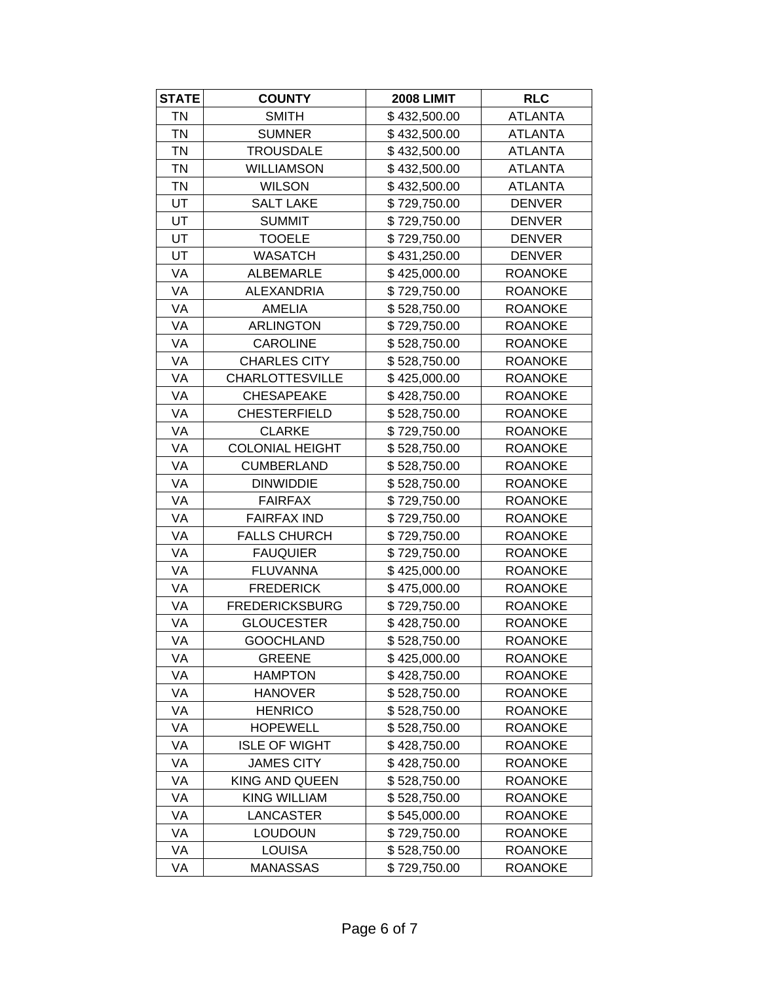| <b>STATE</b> | <b>COUNTY</b>          | <b>2008 LIMIT</b> | <b>RLC</b>     |
|--------------|------------------------|-------------------|----------------|
| <b>TN</b>    | <b>SMITH</b>           | \$432,500.00      | <b>ATLANTA</b> |
| <b>TN</b>    | <b>SUMNER</b>          | \$432,500.00      | <b>ATLANTA</b> |
| <b>TN</b>    | <b>TROUSDALE</b>       | \$432,500.00      | <b>ATLANTA</b> |
| <b>TN</b>    | <b>WILLIAMSON</b>      | \$432,500.00      | <b>ATLANTA</b> |
| <b>TN</b>    | <b>WILSON</b>          | \$432,500.00      | <b>ATLANTA</b> |
| UT           | <b>SALT LAKE</b>       | \$729,750.00      | <b>DENVER</b>  |
| UT           | <b>SUMMIT</b>          | \$729,750.00      | <b>DENVER</b>  |
| UT           | <b>TOOELE</b>          | \$729,750.00      | <b>DENVER</b>  |
| UT           | <b>WASATCH</b>         | \$431,250.00      | <b>DENVER</b>  |
| VA           | <b>ALBEMARLE</b>       | \$425,000.00      | <b>ROANOKE</b> |
| VA           | <b>ALEXANDRIA</b>      | \$729,750.00      | <b>ROANOKE</b> |
| VA           | <b>AMELIA</b>          | \$528,750.00      | <b>ROANOKE</b> |
| VA           | <b>ARLINGTON</b>       | \$729,750.00      | <b>ROANOKE</b> |
| VA           | <b>CAROLINE</b>        | \$528,750.00      | <b>ROANOKE</b> |
| VA           | <b>CHARLES CITY</b>    | \$528,750.00      | <b>ROANOKE</b> |
| VA           | <b>CHARLOTTESVILLE</b> | \$425,000.00      | <b>ROANOKE</b> |
| VA           | <b>CHESAPEAKE</b>      | \$428,750.00      | <b>ROANOKE</b> |
| VA           | <b>CHESTERFIELD</b>    | \$528,750.00      | <b>ROANOKE</b> |
| VA           | <b>CLARKE</b>          | \$729,750.00      | <b>ROANOKE</b> |
| VA           | <b>COLONIAL HEIGHT</b> | \$528,750.00      | <b>ROANOKE</b> |
| VA           | <b>CUMBERLAND</b>      | \$528,750.00      | <b>ROANOKE</b> |
| VA           | <b>DINWIDDIE</b>       | \$528,750.00      | <b>ROANOKE</b> |
| VA           | <b>FAIRFAX</b>         | \$729,750.00      | <b>ROANOKE</b> |
| VA           | <b>FAIRFAX IND</b>     | \$729,750.00      | <b>ROANOKE</b> |
| VA           | <b>FALLS CHURCH</b>    | \$729,750.00      | <b>ROANOKE</b> |
| VA           | <b>FAUQUIER</b>        | \$729,750.00      | <b>ROANOKE</b> |
| VA           | <b>FLUVANNA</b>        | \$425,000.00      | <b>ROANOKE</b> |
| VA           | <b>FREDERICK</b>       | \$475,000.00      | <b>ROANOKE</b> |
| VA           | <b>FREDERICKSBURG</b>  | \$729,750.00      | <b>ROANOKE</b> |
| VA           | <b>GLOUCESTER</b>      | \$428,750.00      | <b>ROANOKE</b> |
| VA           | <b>GOOCHLAND</b>       | \$528,750.00      | <b>ROANOKE</b> |
| VA           | <b>GREENE</b>          | \$425,000.00      | <b>ROANOKE</b> |
| VA           | <b>HAMPTON</b>         | \$428,750.00      | <b>ROANOKE</b> |
| VA           | <b>HANOVER</b>         | \$528,750.00      | <b>ROANOKE</b> |
| VA           | <b>HENRICO</b>         | \$528,750.00      | <b>ROANOKE</b> |
| VA           | <b>HOPEWELL</b>        | \$528,750.00      | <b>ROANOKE</b> |
| VA           | <b>ISLE OF WIGHT</b>   | \$428,750.00      | <b>ROANOKE</b> |
| VA           | <b>JAMES CITY</b>      | \$428,750.00      | <b>ROANOKE</b> |
| VA           | KING AND QUEEN         | \$528,750.00      | <b>ROANOKE</b> |
| VA           | <b>KING WILLIAM</b>    | \$528,750.00      | <b>ROANOKE</b> |
| VA           | LANCASTER              | \$545,000.00      | <b>ROANOKE</b> |
| VA           | <b>LOUDOUN</b>         | \$729,750.00      | <b>ROANOKE</b> |
| VA           | <b>LOUISA</b>          | \$528,750.00      | <b>ROANOKE</b> |
| VA           | <b>MANASSAS</b>        | \$729,750.00      | <b>ROANOKE</b> |